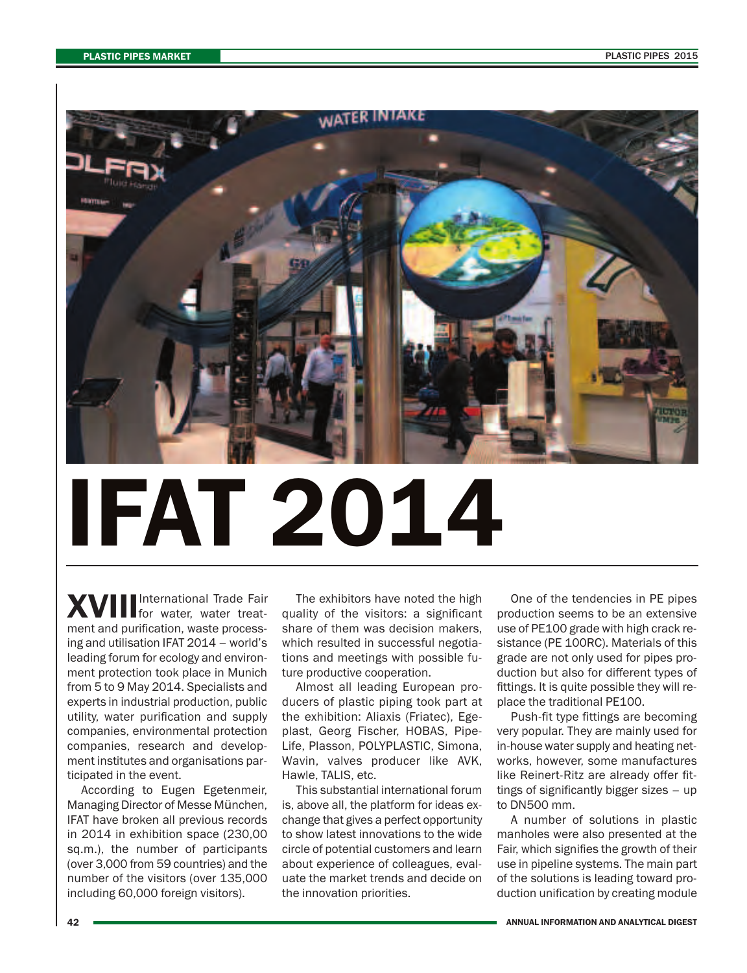

## **IFAT 2014**

**XVIII** for water, water treatment and purification, waste processing and utilisation IFAT 2014 – world's leading forum for ecology and environment protection took place in Munich from 5 to 9 May 2014. Specialists and experts in industrial production, public utility, water purification and supply companies, environmental protection companies, research and development institutes and organisations participated in the event.

According to Eugen Egetenmeir, Managing Director of Messe München, IFAT have broken all previous records in 2014 in exhibition space (230,00 sq.m.), the number of participants (over 3,000 from 59 countries) and the number of the visitors (over 135,000 including 60,000 foreign visitors).

The exhibitors have noted the high quality of the visitors: a significant share of them was decision makers, which resulted in successful negotiations and meetings with possible future productive cooperation.

Almost all leading European producers of plastic piping took part at the exhibition: Aliaxis (Friatec), Egeplast, Georg Fischer, HOBAS, Pipe-Life, Plasson, POLYPLASTIC, Simona, Wavin, valves producer like AVK, Hawle, TALIS, etc.

This substantial international forum is, above all, the platform for ideas exchange that gives a perfect opportunity to show latest innovations to the wide circle of potential customers and learn about experience of colleagues, evaluate the market trends and decide on the innovation priorities.

One of the tendencies in PE pipes production seems to be an extensive use of PE100 grade with high crack resistance (PE 100RC). Materials of this grade are not only used for pipes production but also for different types of fittings. It is quite possible they will replace the traditional PE100.

Push-fit type fittings are becoming very popular. They are mainly used for in-house water supply and heating networks, however, some manufactures like Reinert-Ritz are already offer fittings of significantly bigger sizes – up to DN500 mm.

A number of solutions in plastic manholes were also presented at the Fair, which signifies the growth of their use in pipeline systems. The main part of the solutions is leading toward production unification by creating module